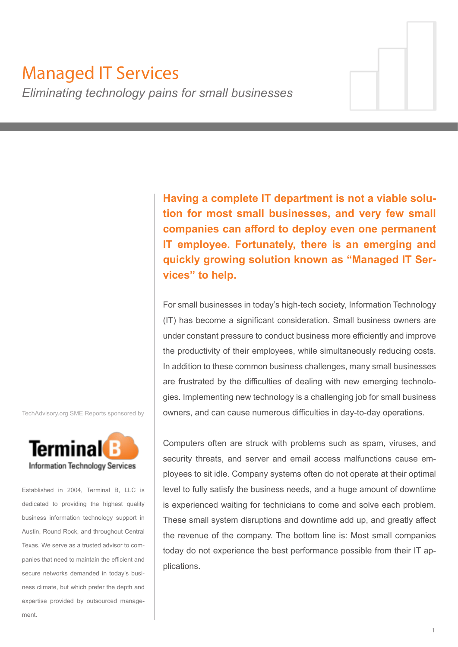# Managed IT Services

*Eliminating technology pains for small businesses*

**Having a complete IT department is not a viable solution for most small businesses, and very few small companies can afford to deploy even one permanent IT employee. Fortunately, there is an emerging and quickly growing solution known as "Managed IT Services" to help.**

For small businesses in today's high-tech society, Information Technology (IT) has become a significant consideration. Small business owners are under constant pressure to conduct business more efficiently and improve the productivity of their employees, while simultaneously reducing costs. In addition to these common business challenges, many small businesses are frustrated by the difficulties of dealing with new emerging technologies. Implementing new technology is a challenging job for small business owners, and can cause numerous difficulties in day-to-day operations.

Computers often are struck with problems such as spam, viruses, and security threats, and server and email access malfunctions cause employees to sit idle. Company systems often do not operate at their optimal level to fully satisfy the business needs, and a huge amount of downtime is experienced waiting for technicians to come and solve each problem. These small system disruptions and downtime add up, and greatly affect the revenue of the company. The bottom line is: Most small companies today do not experience the best performance possible from their IT applications.

TechAdvisory.org SME Reports sponsored by



Established in 2004, Terminal B, LLC is dedicated to providing the highest quality business information technology support in Austin, Round Rock, and throughout Central Texas. We serve as a trusted advisor to companies that need to maintain the efficient and secure networks demanded in today's business climate, but which prefer the depth and expertise provided by outsourced management.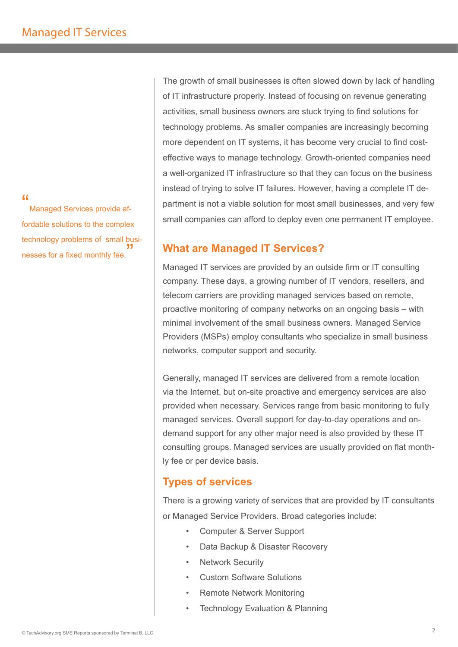#### $\alpha$

Managed Services provide affordable solutions to the complex technology problems of small businesses for a fixed monthly fee. "

The growth of small businesses is often slowed down by lack of handling of IT infrastructure properly. Instead of focusing on revenue generating activities, small business owners are stuck trying to find solutions for technology problems. As smaller companies are increasingly becoming more dependent on IT systems, it has become very crucial to find costeffective ways to manage technology. Growth-oriented companies need a well-organized IT infrastructure so that they can focus on the business instead of trying to solve IT failures. However, having a complete IT department is not a viable solution for most small businesses, and very few small companies can afford to deploy even one permanent IT employee.

# **What are Managed IT Services?**

Managed IT services are provided by an outside firm or IT consulting company. These days, a growing number of IT vendors, resellers, and telecom carriers are providing managed services based on remote, proactive monitoring of company networks on an ongoing basis – with minimal involvement of the small business owners. Managed Service Providers (MSPs) employ consultants who specialize in small business networks, computer support and security.

Generally, managed IT services are delivered from a remote location via the Internet, but on-site proactive and emergency services are also provided when necessary. Services range from basic monitoring to fully managed services. Overall support for day-to-day operations and ondemand support for any other major need is also provided by these IT consulting groups. Managed services are usually provided on flat monthly fee or per device basis.

# **Types of services**

There is a growing variety of services that are provided by IT consultants or Managed Service Providers. Broad categories include:

- Computer & Server Support
- Data Backup & Disaster Recovery
- **Network Security**
- Custom Software Solutions
- Remote Network Monitoring
- Technology Evaluation & Planning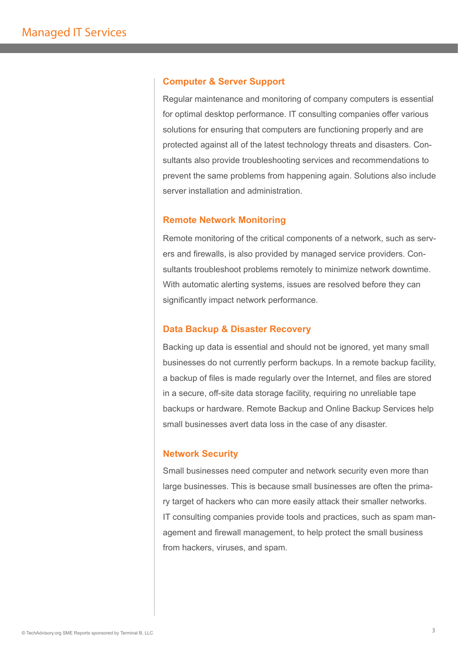#### **Computer & Server Support**

Regular maintenance and monitoring of company computers is essential for optimal desktop performance. IT consulting companies offer various solutions for ensuring that computers are functioning properly and are protected against all of the latest technology threats and disasters. Consultants also provide troubleshooting services and recommendations to prevent the same problems from happening again. Solutions also include server installation and administration.

## **Remote Network Monitoring**

Remote monitoring of the critical components of a network, such as servers and firewalls, is also provided by managed service providers. Consultants troubleshoot problems remotely to minimize network downtime. With automatic alerting systems, issues are resolved before they can significantly impact network performance.

#### **Data Backup & Disaster Recovery**

Backing up data is essential and should not be ignored, yet many small businesses do not currently perform backups. In a remote backup facility, a backup of files is made regularly over the Internet, and files are stored in a secure, off-site data storage facility, requiring no unreliable tape backups or hardware. Remote Backup and Online Backup Services help small businesses avert data loss in the case of any disaster.

## **Network Security**

Small businesses need computer and network security even more than large businesses. This is because small businesses are often the primary target of hackers who can more easily attack their smaller networks. IT consulting companies provide tools and practices, such as spam management and firewall management, to help protect the small business from hackers, viruses, and spam.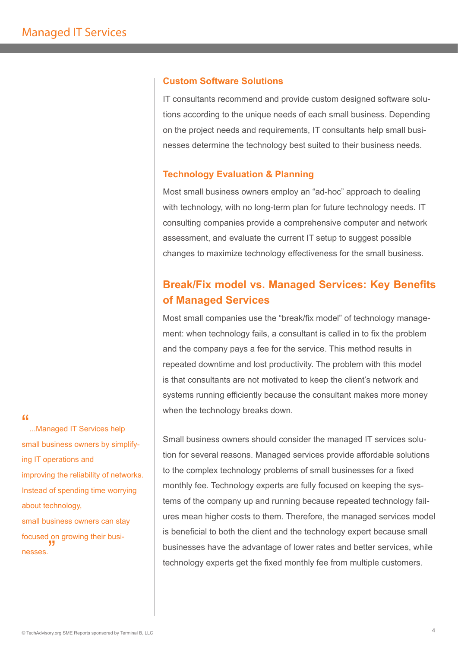## **Custom Software Solutions**

IT consultants recommend and provide custom designed software solutions according to the unique needs of each small business. Depending on the project needs and requirements, IT consultants help small businesses determine the technology best suited to their business needs.

#### **Technology Evaluation & Planning**

Most small business owners employ an "ad-hoc" approach to dealing with technology, with no long-term plan for future technology needs. IT consulting companies provide a comprehensive computer and network assessment, and evaluate the current IT setup to suggest possible changes to maximize technology effectiveness for the small business.

# **Break/Fix model vs. Managed Services: Key Benefits of Managed Services**

Most small companies use the "break/fix model" of technology management: when technology fails, a consultant is called in to fix the problem and the company pays a fee for the service. This method results in repeated downtime and lost productivity. The problem with this model is that consultants are not motivated to keep the client's network and systems running efficiently because the consultant makes more money when the technology breaks down.

Small business owners should consider the managed IT services solution for several reasons. Managed services provide affordable solutions to the complex technology problems of small businesses for a fixed monthly fee. Technology experts are fully focused on keeping the systems of the company up and running because repeated technology failures mean higher costs to them. Therefore, the managed services model is beneficial to both the client and the technology expert because small businesses have the advantage of lower rates and better services, while technology experts get the fixed monthly fee from multiple customers.

#### $\epsilon$

...Managed IT Services help small business owners by simplifying IT operations and improving the reliability of networks. Instead of spending time worrying about technology, small business owners can stay focused on growing their businesses. "